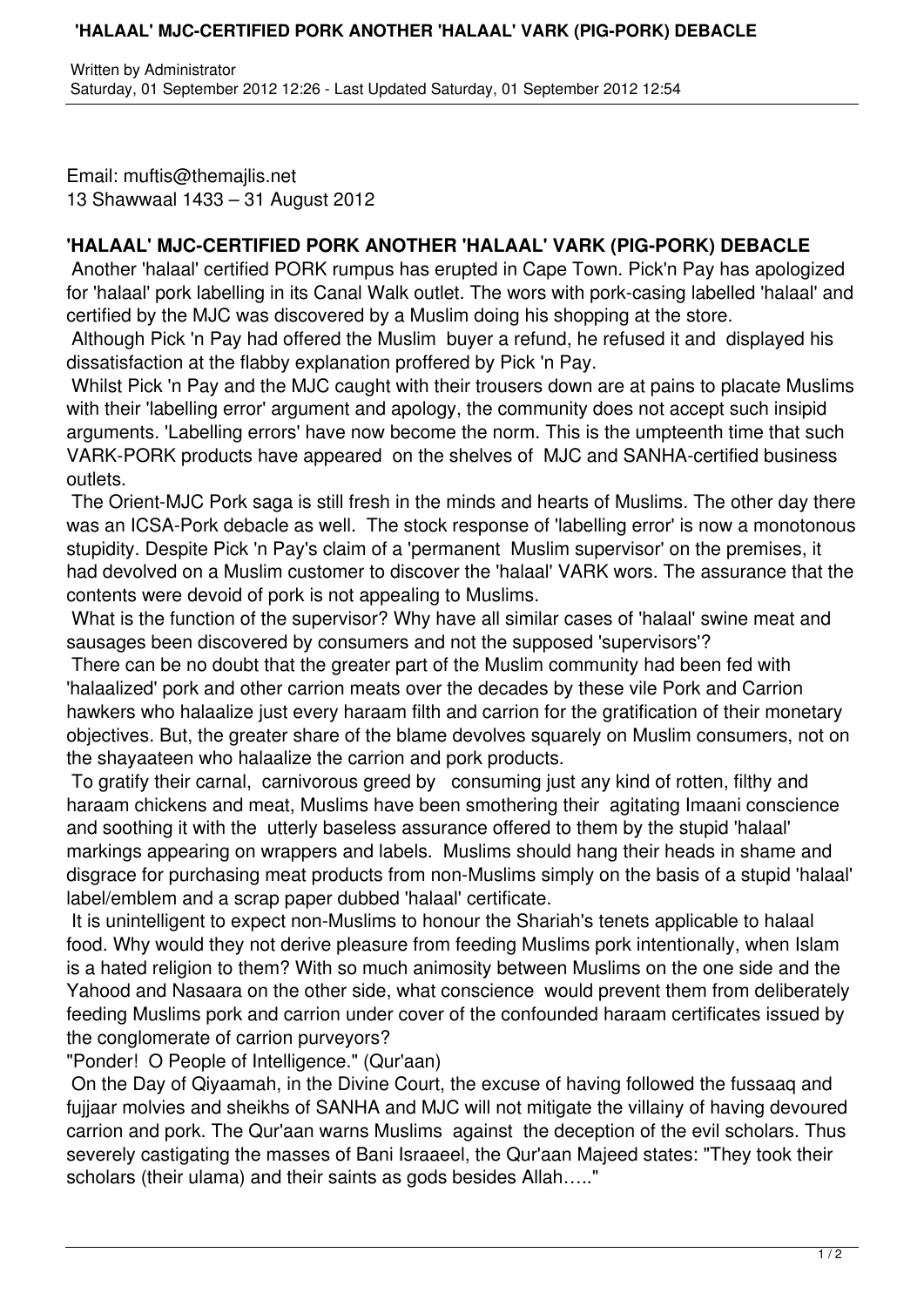## **'HALAAL' MJC-CERTIFIED PORK ANOTHER 'HALAAL' VARK (PIG-PORK) DEBACLE**

Email: muftis@themajlis.net 13 Shawwaal 1433 – 31 August 2012

## **'HALAAL' MJC-CERTIFIED PORK ANOTHER 'HALAAL' VARK (PIG-PORK) DEBACLE**

Another 'halaal' certified PORK rumpus has erupted in Cape Town. Pick'n Pay has apologized for 'halaal' pork labelling in its Canal Walk outlet. The wors with pork-casing labelled 'halaal' and certified by the MJC was discovered by a Muslim doing his shopping at the store.

Although Pick 'n Pay had offered the Muslim buyer a refund, he refused it and displayed his dissatisfaction at the flabby explanation proffered by Pick 'n Pay.

 Whilst Pick 'n Pay and the MJC caught with their trousers down are at pains to placate Muslims with their 'labelling error' argument and apology, the community does not accept such insipid arguments. 'Labelling errors' have now become the norm. This is the umpteenth time that such VARK-PORK products have appeared on the shelves of MJC and SANHA-certified business outlets.

 The Orient-MJC Pork saga is still fresh in the minds and hearts of Muslims. The other day there was an ICSA-Pork debacle as well. The stock response of 'labelling error' is now a monotonous stupidity. Despite Pick 'n Pay's claim of a 'permanent Muslim supervisor' on the premises, it had devolved on a Muslim customer to discover the 'halaal' VARK wors. The assurance that the contents were devoid of pork is not appealing to Muslims.

 What is the function of the supervisor? Why have all similar cases of 'halaal' swine meat and sausages been discovered by consumers and not the supposed 'supervisors'?

 There can be no doubt that the greater part of the Muslim community had been fed with 'halaalized' pork and other carrion meats over the decades by these vile Pork and Carrion hawkers who halaalize just every haraam filth and carrion for the gratification of their monetary objectives. But, the greater share of the blame devolves squarely on Muslim consumers, not on the shayaateen who halaalize the carrion and pork products.

 To gratify their carnal, carnivorous greed by consuming just any kind of rotten, filthy and haraam chickens and meat, Muslims have been smothering their agitating Imaani conscience and soothing it with the utterly baseless assurance offered to them by the stupid 'halaal' markings appearing on wrappers and labels. Muslims should hang their heads in shame and disgrace for purchasing meat products from non-Muslims simply on the basis of a stupid 'halaal' label/emblem and a scrap paper dubbed 'halaal' certificate.

 It is unintelligent to expect non-Muslims to honour the Shariah's tenets applicable to halaal food. Why would they not derive pleasure from feeding Muslims pork intentionally, when Islam is a hated religion to them? With so much animosity between Muslims on the one side and the Yahood and Nasaara on the other side, what conscience would prevent them from deliberately feeding Muslims pork and carrion under cover of the confounded haraam certificates issued by the conglomerate of carrion purveyors?

"Ponder! O People of Intelligence." (Qur'aan)

 On the Day of Qiyaamah, in the Divine Court, the excuse of having followed the fussaaq and fujjaar molvies and sheikhs of SANHA and MJC will not mitigate the villainy of having devoured carrion and pork. The Qur'aan warns Muslims against the deception of the evil scholars. Thus severely castigating the masses of Bani Israaeel, the Qur'aan Majeed states: "They took their scholars (their ulama) and their saints as gods besides Allah….."